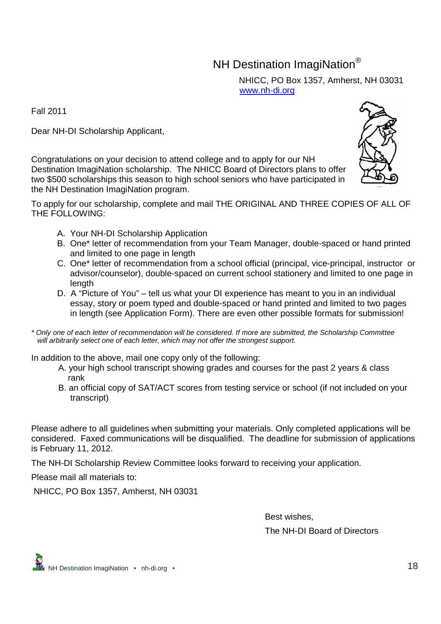## NH Destination ImagiNation<sup>®</sup>

NHICC, PO Box 1357, Amherst, NH 03031 www.nh-di.org

Fall 2011

Dear NH-DI Scholarship Applicant,

Congratulations on your decision to attend college and to apply for our NH Destination ImagiNation scholarship. The NHICC Board of Directors plans to offer two \$500 scholarships this season to high school seniors who have participated in the NH Destination ImagiNation program.

To apply for our scholarship, complete and mail THE ORIGINAL AND THREE COPIES OF ALL OF THE FOLLOWING:

- A. Your NH-DI Scholarship Application
- B. One\* letter of recommendation from your Team Manager, double-spaced or hand printed and limited to one page in length
- C. One\* letter of recommendation from a school official (principal, vice-principal, instructor or advisor/counselor), double-spaced on current school stationery and limited to one page in length
- D. A "Picture of You" tell us what your DI experience has meant to you in an individual essay, story or poem typed and double-spaced or hand printed and limited to two pages in length (see Application Form). There are even other possible formats for submission!
- \* Only one of each letter of recommendation will be considered. If more are submitted, the Scholarship Committee will arbitrarily select one of each letter, which may not offer the strongest support.

In addition to the above, mail one copy only of the following:

- A. your high school transcript showing grades and courses for the past 2 years & class rank
- B. an official copy of SAT/ACT scores from testing service or school (if not included on your transcript)

Please adhere to all guidelines when submitting your materials. Only completed applications will be considered. Faxed communications will be disqualified. The deadline for submission of applications is February 11, 2012.

The NH-DI Scholarship Review Committee looks forward to receiving your application.

Please mail all materials to:

NHICC, PO Box 1357, Amherst, NH 03031

Best wishes, The NH-DI Board of Directors



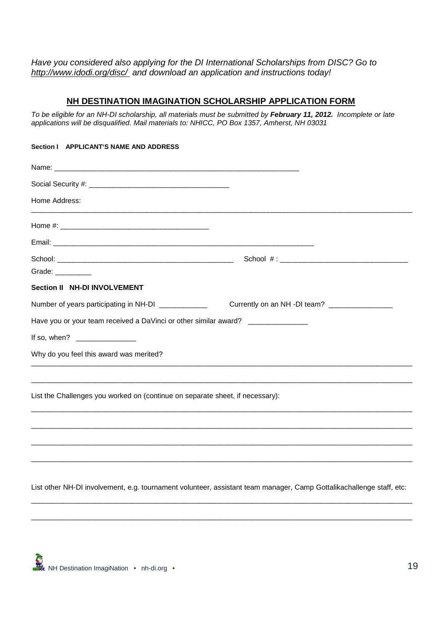Have you considered also applying for the DI International Scholarships from DISC? Go to http://www.idodi.org/disc/ and download an application and instructions today!

## **NH DESTINATION IMAGINATION SCHOLARSHIP APPLICATION FORM**

To be eligible for an NH-DI scholarship, all materials must be submitted by **February 11, 2012.** Incomplete or late applications will be disqualified. Mail materials to: NHICC, PO Box 1357, Amherst, NH 03031

| Section   APPLICANT'S NAME AND ADDRESS                                           |                                                                                  |  |
|----------------------------------------------------------------------------------|----------------------------------------------------------------------------------|--|
|                                                                                  |                                                                                  |  |
|                                                                                  |                                                                                  |  |
| Home Address:                                                                    | ,我们也不会有一个人的事情。""我们的人们是不是我们的人,我们也不会有一个人的人,我们也不会有一个人的人,我们也不会有一个人的人,我们也不会有一个人的人,我们也 |  |
|                                                                                  |                                                                                  |  |
|                                                                                  |                                                                                  |  |
| Grade: $\frac{1}{2}$                                                             |                                                                                  |  |
| Section II NH-DI INVOLVEMENT                                                     |                                                                                  |  |
| Number of years participating in NH-DI _____________                             | Currently on an NH -DI team? _________________                                   |  |
| Have you or your team received a DaVinci or other similar award? _______________ |                                                                                  |  |
|                                                                                  |                                                                                  |  |
| Why do you feel this award was merited?                                          |                                                                                  |  |
| List the Challenges you worked on (continue on separate sheet, if necessary):    |                                                                                  |  |
|                                                                                  |                                                                                  |  |
|                                                                                  |                                                                                  |  |
|                                                                                  |                                                                                  |  |
|                                                                                  |                                                                                  |  |

List other NH-DI involvement, e.g. tournament volunteer, assistant team manager, Camp Gottalikachallenge staff, etc:

\_\_\_\_\_\_\_\_\_\_\_\_\_\_\_\_\_\_\_\_\_\_\_\_\_\_\_\_\_\_\_\_\_\_\_\_\_\_\_\_\_\_\_\_\_\_\_\_\_\_\_\_\_\_\_\_\_\_\_\_\_\_\_\_\_\_\_\_\_\_\_\_\_\_\_\_\_\_\_\_\_\_\_\_\_\_\_\_\_\_\_\_\_\_\_

\_\_\_\_\_\_\_\_\_\_\_\_\_\_\_\_\_\_\_\_\_\_\_\_\_\_\_\_\_\_\_\_\_\_\_\_\_\_\_\_\_\_\_\_\_\_\_\_\_\_\_\_\_\_\_\_\_\_\_\_\_\_\_\_\_\_\_\_\_\_\_\_\_\_\_\_\_\_\_\_\_\_\_\_\_\_\_\_\_\_\_\_\_\_\_